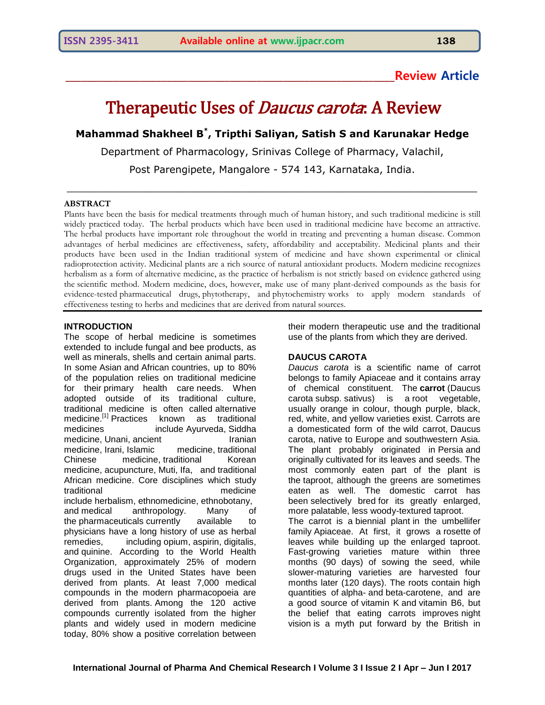# **\_\_\_\_\_\_\_\_\_\_\_\_\_\_\_\_\_\_\_\_\_\_\_\_\_\_\_\_\_\_\_\_\_\_\_\_\_\_\_\_\_\_\_\_\_\_\_\_\_\_\_\_\_\_\_\_\_\_\_\_\_\_Review Article**

# Therapeutic Uses of *Daucus carota*: A Review

# **Mahammad Shakheel B \* , Tripthi Saliyan, Satish S and Karunakar Hedge**

Department of Pharmacology, Srinivas College of Pharmacy, Valachil,

Post Parengipete, Mangalore - 574 143, Karnataka, India.

\_\_\_\_\_\_\_\_\_\_\_\_\_\_\_\_\_\_\_\_\_\_\_\_\_\_\_\_\_\_\_\_\_\_\_\_\_\_\_\_\_\_\_\_\_\_\_\_\_\_\_\_\_\_\_\_\_\_\_\_\_\_\_\_\_\_

#### **ABSTRACT**

Plants have been the basis for medical treatments through much of human history, and such [traditional medicine](https://en.wikipedia.org/wiki/Traditional_medicine) is still widely practiced today. The herbal products which have been used in traditional medicine have become an attractive. The herbal products have important role throughout the world in treating and preventing a human disease. Common advantages of herbal medicines are effectiveness, safety, affordability and acceptability. Medicinal plants and their products have been used in the Indian traditional system of medicine and have shown experimental or clinical radioprotection activity. Medicinal plants are a rich source of natural antioxidant products. Modern medicine recognizes herbalism as a form of [alternative medicine,](https://en.wikipedia.org/wiki/Alternative_medicine) as the practice of herbalism is not strictly based on [evidence](https://en.wikipedia.org/wiki/Evidence) gathered using the [scientific method.](https://en.wikipedia.org/wiki/Scientific_method) Modern medicine, does, however, make use of many plant-derived compounds as the basis for evidence-tested [pharmaceutical drugs,](https://en.wikipedia.org/wiki/Pharmaceutical_drug) [phytotherapy,](https://en.wikipedia.org/wiki/Phytotherapy) and [phytochemistry](https://en.wikipedia.org/wiki/Phytochemistry) works to apply modern standards of effectiveness testing to herbs and medicines that are derived from natural sources.

#### **INTRODUCTION**

The scope of herbal medicine is sometimes extended to include [fungal](https://en.wikipedia.org/wiki/Fungi) and [bee](https://en.wikipedia.org/wiki/Bee) products, as well as [minerals,](https://en.wikipedia.org/wiki/Dietary_mineral) [shells](https://en.wikipedia.org/wiki/Animal_shell) and certain animal parts. In some [Asian](https://en.wikipedia.org/wiki/Asia) and [African](https://en.wikipedia.org/wiki/Africa) countries, up to 80% of the population relies on traditional medicine for their [primary health care](https://en.wikipedia.org/wiki/Primary_health_care) needs. When adopted outside of its traditional culture, traditional medicine is often called [alternative](https://en.wikipedia.org/wiki/Alternative_medicine)  [medicine.](https://en.wikipedia.org/wiki/Alternative_medicine)<sup>[\[1\]](https://en.wikipedia.org/wiki/Traditional_medicine#cite_note-WHO-1)</sup> Practices known as traditional medicines include [Ayurveda,](https://en.wikipedia.org/wiki/Ayurveda) [Siddha](https://en.wikipedia.org/wiki/Siddha_medicine)  [medicine,](https://en.wikipedia.org/wiki/Siddha_medicine) [Unani,](https://en.wikipedia.org/wiki/Unani) ancient **Iranian** [medicine,](https://en.wikipedia.org/wiki/Ancient_Iranian_Medicine) [Irani,](https://en.wikipedia.org/wiki/Irani_Traditional_medicine) [Islamic medicine,](https://en.wikipedia.org/wiki/Medicine_in_medieval_Islam) [traditional](https://en.wikipedia.org/wiki/Traditional_Chinese_medicine)  [Chinese medicine,](https://en.wikipedia.org/wiki/Traditional_Chinese_medicine) [traditional Korean](https://en.wikipedia.org/wiki/Traditional_Korean_medicine)  [medicine,](https://en.wikipedia.org/wiki/Traditional_Korean_medicine) [acupuncture,](https://en.wikipedia.org/wiki/Acupuncture) [Muti,](https://en.wikipedia.org/wiki/Muti) Ifa, and [traditional](https://en.wikipedia.org/wiki/Traditional_African_medicine)  [African medicine.](https://en.wikipedia.org/wiki/Traditional_African_medicine) Core disciplines which study traditional medicine include [herbalism,](https://en.wikipedia.org/wiki/Herbalism) [ethnomedicine,](https://en.wikipedia.org/wiki/Ethnomedicine) [ethnobotany,](https://en.wikipedia.org/wiki/Ethnobotany) and [medical anthropology.](https://en.wikipedia.org/wiki/Medical_anthropology) Many of the [pharmaceuticals](https://en.wikipedia.org/wiki/Pharmaceuticals) currently available to physicians have a long history of use as herbal remedies, including [opium,](https://en.wikipedia.org/wiki/Opium) [aspirin,](https://en.wikipedia.org/wiki/Aspirin) [digitalis,](https://en.wikipedia.org/wiki/Digitalis) and [quinine.](https://en.wikipedia.org/wiki/Quinine) According to the World Health Organization, approximately 25% of modern drugs used in the United States have been derived from plants. At least 7,000 medical compounds in the modern pharmacopoeia are derived from plants. Among the 120 active compounds currently isolated from the higher plants and widely used in modern medicine today, 80% show a positive correlation between

their modern therapeutic use and the traditional use of the plants from which they are derived.

#### **DAUCUS CAROTA**

*Daucus carota* is a scientific name of carrot belongs to family Apiaceae and it contains array of chemical constituent. The **carrot** [\(Daucus](https://en.wikipedia.org/wiki/Daucus_carota)  [carota](https://en.wikipedia.org/wiki/Daucus_carota) subsp. sativus) is a [root vegetable,](https://en.wikipedia.org/wiki/Root_vegetable) usually orange in colour, though purple, black, red, white, and yellow varieties exist. Carrots are a domesticated form of the [wild carrot,](https://en.wikipedia.org/wiki/Daucus_carota) Daucus carota, native to Europe and southwestern Asia. The plant probably originated in [Persia](https://en.wikipedia.org/wiki/Greater_Iran) and originally cultivated for its leaves and seeds. The most commonly eaten part of the plant is the [taproot,](https://en.wikipedia.org/wiki/Taproot) although the greens are sometimes eaten as well. The domestic carrot has been [selectively bred](https://en.wikipedia.org/wiki/Selectively_bred) for its greatly enlarged, more palatable, less woody-textured taproot. The carrot is a [biennial plant](https://en.wikipedia.org/wiki/Biennial_plant) in the umbellifer family [Apiaceae.](https://en.wikipedia.org/wiki/Apiaceae) At first, it grows a [rosette](https://en.wikipedia.org/wiki/Rosette_(botany)) of leaves while building up the enlarged taproot. Fast-growing varieties mature within three months (90 days) of sowing the seed, while slower-maturing varieties are harvested four months later (120 days). The roots contain high quantities of [alpha-](https://en.wikipedia.org/wiki/Alpha-Carotene) and [beta-carotene,](https://en.wikipedia.org/wiki/Beta-Carotene) and are a good source of [vitamin K](https://en.wikipedia.org/wiki/Vitamin_K) and [vitamin B6,](https://en.wikipedia.org/wiki/Vitamin_B6) but the belief that eating carrots improves [night](https://en.wikipedia.org/wiki/Night_vision)  [vision](https://en.wikipedia.org/wiki/Night_vision) is a myth put forward by the British in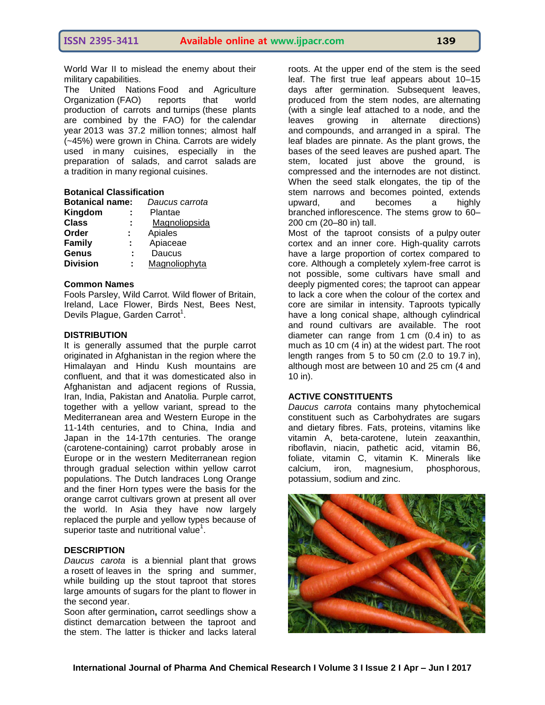World War II to mislead the enemy about their military capabilities.

The United Nations-Food and Agriculture<br>Organization (FAO) reports that world [Organization](https://en.wikipedia.org/wiki/Food_and_Agriculture_Organization) (FAO) reports that world production of carrots and [turnips](https://en.wikipedia.org/wiki/Turnip) (these plants are combined by the FAO) for the [calendar](https://en.wikipedia.org/wiki/Calendar_year)  [year](https://en.wikipedia.org/wiki/Calendar_year) 2013 was 37.2 million [tonnes;](https://en.wikipedia.org/wiki/Tonnes) almost half (~45%) were grown in China. Carrots are widely used in [many cuisines,](https://en.wikipedia.org/wiki/List_of_cuisines) especially in the preparation of salads, and [carrot salads](https://en.wikipedia.org/wiki/Carrot_salad) are a [tradition](https://en.wikipedia.org/wiki/Tradition) in many regional cuisines.

### **Botanical Classification**

| <b>Botanical name:</b> | Daucus carrota |
|------------------------|----------------|
| Kingdom                | Plantae        |
| <b>Class</b>           | Magnoliopsida  |
| Order                  | Apiales        |
| <b>Family</b>          | Apiaceae       |
| Genus                  | Daucus         |
| <b>Division</b>        | Magnoliophyta  |
|                        |                |

#### **Common Names**

Fools Parsley, Wild Carrot. Wild flower of Britain, Ireland, Lace Flower, Birds Nest, Bees Nest, Devils Plague, Garden Carrot<sup>1</sup>.

#### **DISTRIBUTION**

It is generally assumed that the purple carrot originated in Afghanistan in the region where the Himalayan and Hindu Kush mountains are confluent, and that it was domesticated also in Afghanistan and adjacent regions of Russia, Iran, India, Pakistan and Anatolia. Purple carrot, together with a yellow variant, spread to the Mediterranean area and Western Europe in the 11-14th centuries, and to China, India and Japan in the 14-17th centuries. The orange (carotene-containing) carrot probably arose in Europe or in the western Mediterranean region through gradual selection within yellow carrot populations. The Dutch landraces Long Orange and the finer Horn types were the basis for the orange carrot cultivars grown at present all over the world. In Asia they have now largely replaced the purple and yellow types because of superior taste and nutritional value<sup>1</sup>.

#### **DESCRIPTION**

*Daucus carota* is a biennial plant that grows a rosett of leaves in the spring and summer, while building up the stout taproot that stores large amounts of sugars for the plant to flower in the second year.

Soon after germination**,** carrot seedlings show a distinct demarcation between the taproot and the stem. The latter is thicker and lacks lateral

roots. At the upper end of the stem is the seed leaf. The first true leaf appears about 10–15 days after germination. Subsequent leaves, produced from the stem nodes, are [alternating](https://en.wikipedia.org/wiki/Alternate_leaf#Arrangement_on_the_stem)  (with a single leaf attached to a node, and the leaves growing in alternate directions) and [compounds,](https://en.wikipedia.org/wiki/Compound_leaf) and arranged in a spiral. The leaf blades are pinnate. As the plant grows, the bases of the seed leaves are pushed apart. The stem, located just above the ground, is compressed and the internodes are not distinct. When the seed stalk elongates, the tip of the stem narrows and becomes pointed, extends upward, and becomes a highly branched [inflorescence.](https://en.wikipedia.org/wiki/Inflorescence) The stems grow to 60– 200 cm (20–80 in) tall.

Most of the taproot consists of a pulpy outer cortex and an inner core. High-quality carrots have a large proportion of cortex compared to core. Although a completely xylem-free carrot is not possible, some cultivars have small and deeply pigmented cores; the taproot can appear to lack a core when the colour of the cortex and core are similar in intensity. Taproots typically have a long conical shape, although cylindrical and round cultivars are available. The root diameter can range from 1 cm (0.4 in) to as much as 10 cm (4 in) at the widest part. The root length ranges from 5 to 50 cm (2.0 to 19.7 in), although most are between 10 and 25 cm (4 and 10 in).

#### **ACTIVE CONSTITUENTS**

*Daucus carrota* contains many phytochemical constituent such as Carbohydrates are sugars and dietary fibres. Fats, proteins, vitamins like vitamin A, beta-carotene, lutein zeaxanthin, riboflavin, niacin, pathetic acid, vitamin B6, foliate, vitamin C, vitamin K. Minerals like calcium, iron, magnesium, phosphorous, potassium, sodium and zinc.

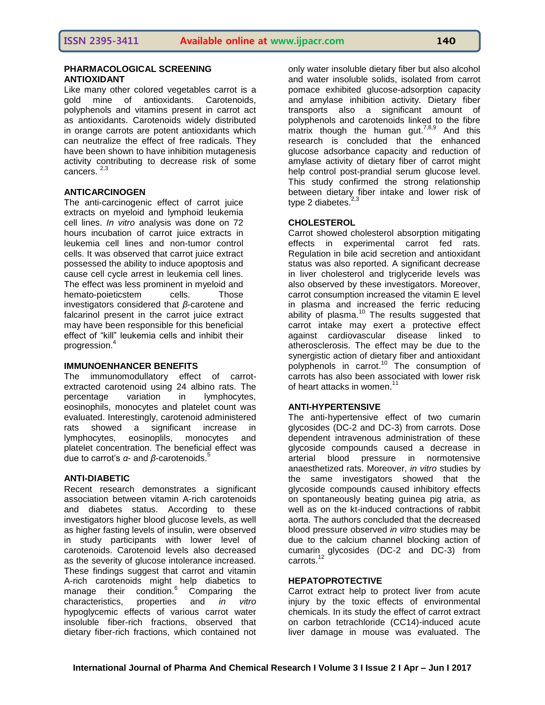### **PHARMACOLOGICAL SCREENING ANTIOXIDANT**

Like many other colored vegetables carrot is a gold mine of antioxidants. Carotenoids, polyphenols and vitamins present in carrot act as antioxidants. Carotenoids widely distributed in orange carrots are potent antioxidants which can neutralize the effect of free radicals. They have been shown to have inhibition mutagenesis activity contributing to decrease risk of some cancers. 2,3

# **ANTICARCINOGEN**

The anti-carcinogenic effect of carrot juice extracts on myeloid and lymphoid leukemia cell lines. *In vitro* analysis was done on 72 hours incubation of carrot juice extracts in leukemia cell lines and non-tumor control cells. It was observed that carrot juice extract possessed the ability to induce apoptosis and cause cell cycle arrest in leukemia cell lines. The effect was less prominent in myeloid and hemato-poieticstem cells. Those investigators considered that *β*-carotene and falcarinol present in the carrot juice extract may have been responsible for this beneficial effect of "kill" leukemia cells and inhibit their progression.<sup>4</sup>

#### **IMMUNOENHANCER BENEFITS**

The immunomodullatory effect of carrotextracted carotenoid using 24 albino rats. The percentage variation in lymphocytes, eosinophils, monocytes and platelet count was evaluated. Interestingly, carotenoid administered rats showed a significant increase in lymphocytes, eosinoplils, monocytes and platelet concentration. The beneficial effect was due to carrot's *α*- and *β*-carotenoids.<sup>5</sup>

#### **ANTI-DIABETIC**

Recent research demonstrates a significant association between vitamin A-rich carotenoids and diabetes status. According to these investigators higher blood glucose levels, as well as higher fasting levels of insulin, were observed in study participants with lower level of carotenoids. Carotenoid levels also decreased as the severity of glucose intolerance increased. These findings suggest that carrot and vitamin A-rich carotenoids might help diabetics to manage their condition.<sup>6</sup> Comparing the characteristics, properties and *in vitro*  hypoglycemic effects of various carrot water insoluble fiber-rich fractions, observed that dietary fiber-rich fractions, which contained not

only water insoluble dietary fiber but also alcohol and water insoluble solids, isolated from carrot pomace exhibited glucose-adsorption capacity and amylase inhibition activity. Dietary fiber transports also a significant amount of polyphenols and carotenoids linked to the fibre matrix though the human gut.<sup>7,8,9</sup> And this research is concluded that the enhanced glucose adsorbance capacity and reduction of amylase activity of dietary fiber of carrot might help control post-prandial serum glucose level. This study confirmed the strong relationship between dietary fiber intake and lower risk of type 2 diabetes.<sup>2,3</sup>

# **CHOLESTEROL**

Carrot showed cholesterol absorption mitigating effects in experimental carrot fed rats. Regulation in bile acid secretion and antioxidant status was also reported. A significant decrease in liver cholesterol and triglyceride levels was also observed by these investigators. Moreover, carrot consumption increased the vitamin E level in plasma and increased the ferric reducing ability of plasma. $10$  The results suggested that carrot intake may exert a protective effect against cardiovascular disease linked to atherosclerosis. The effect may be due to the synergistic action of dietary fiber and antioxidant polyphenols in carrot.<sup>10</sup> The consumption of carrots has also been associated with lower risk of heart attacks in women.<sup>11</sup>

#### **ANTI-HYPERTENSIVE**

The anti-hypertensive effect of two cumarin glycosides (DC-2 and DC-3) from carrots. Dose dependent intravenous administration of these glycoside compounds caused a decrease in arterial blood pressure in normotensive anaesthetized rats. Moreover, *in vitro* studies by the same investigators showed that the glycoside compounds caused inhibitory effects on spontaneously beating guinea pig atria, as well as on the kt-induced contractions of rabbit aorta. The authors concluded that the decreased blood pressure observed *in vitro* studies may be due to the calcium channel blocking action of cumarin glycosides (DC-2 and DC-3) from carrots.<sup>12</sup>

#### **HEPATOPROTECTIVE**

Carrot extract help to protect liver from acute injury by the toxic effects of environmental chemicals. In its study the effect of carrot extract on carbon tetrachloride (CC14)-induced acute liver damage in mouse was evaluated. The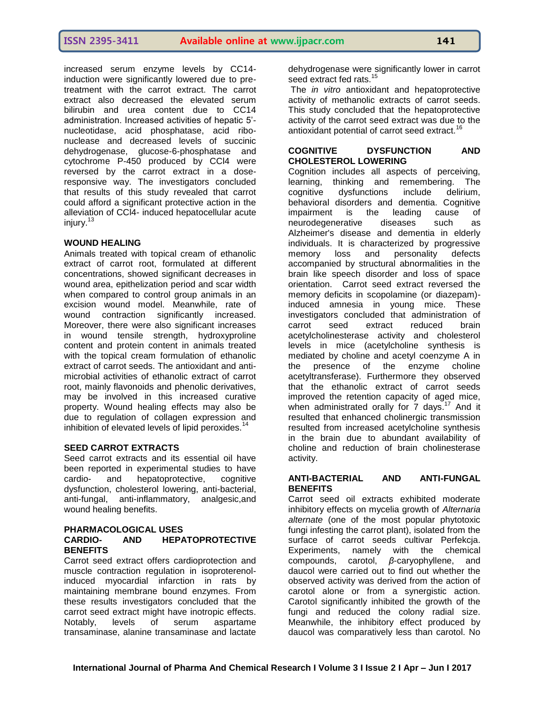increased serum enzyme levels by CC14 induction were significantly lowered due to pretreatment with the carrot extract. The carrot extract also decreased the elevated serum bilirubin and urea content due to CC14 administration. Increased activities of hepatic 5' nucleotidase, acid phosphatase, acid ribonuclease and decreased levels of succinic dehydrogenase, glucose-6-phosphatase and cytochrome P-450 produced by CCl4 were reversed by the carrot extract in a doseresponsive way. The investigators concluded that results of this study revealed that carrot could afford a significant protective action in the alleviation of CCl4- induced hepatocellular acute injury. $13$ 

#### **WOUND HEALING**

Animals treated with topical cream of ethanolic extract of carrot root, formulated at different concentrations, showed significant decreases in wound area, epithelization period and scar width when compared to control group animals in an excision wound model. Meanwhile, rate of wound contraction significantly increased. Moreover, there were also significant increases in wound tensile strength, hydroxyproline content and protein content in animals treated with the topical cream formulation of ethanolic extract of carrot seeds. The antioxidant and antimicrobial activities of ethanolic extract of carrot root, mainly flavonoids and phenolic derivatives, may be involved in this increased curative property. Wound healing effects may also be due to regulation of collagen expression and inhibition of elevated levels of lipid peroxides.<sup>14</sup>

#### **SEED CARROT EXTRACTS**

Seed carrot extracts and its essential oil have been reported in experimental studies to have cardio- and hepatoprotective, cognitive dysfunction, cholesterol lowering, anti-bacterial, anti-fungal, anti-inflammatory, analgesic,and wound healing benefits.

#### **PHARMACOLOGICAL USES CARDIO- AND HEPATOPROTECTIVE BENEFITS**

Carrot seed extract offers cardioprotection and muscle contraction regulation in isoproterenolinduced myocardial infarction in rats by maintaining membrane bound enzymes. From these results investigators concluded that the carrot seed extract might have inotropic effects.<br>Notably, levels of serum aspartame Notably, levels of serum aspartame transaminase, alanine transaminase and lactate

dehydrogenase were significantly lower in carrot seed extract fed rats.<sup>15</sup>

The *in vitro* antioxidant and hepatoprotective activity of methanolic extracts of carrot seeds. This study concluded that the hepatoprotective activity of the carrot seed extract was due to the antioxidant potential of carrot seed extract.<sup>16</sup>

#### **COGNITIVE DYSFUNCTION AND CHOLESTEROL LOWERING**

Cognition includes all aspects of perceiving, learning, thinking and remembering. The cognitive dysfunctions include delirium, behavioral disorders and dementia. Cognitive<br>impairment is the leading cause of impairment is the leading cause of neurodegenerative diseases such as Alzheimer's disease and dementia in elderly individuals. It is characterized by progressive memory loss and personality defects accompanied by structural abnormalities in the brain like speech disorder and loss of space orientation. Carrot seed extract reversed the memory deficits in scopolamine (or diazepam) induced amnesia in young mice. These investigators concluded that administration of carrot seed extract reduced brain acetylcholinesterase activity and cholesterol levels in mice (acetylcholine synthesis is mediated by choline and acetyl coenzyme A in the presence of the enzyme choline acetyltransferase). Furthermore they observed that the ethanolic extract of carrot seeds improved the retention capacity of aged mice, when administrated orally for  $7 \text{ days}$ .<sup>17</sup> And it resulted that enhanced cholinergic transmission resulted from increased acetylcholine synthesis in the brain due to abundant availability of choline and reduction of brain cholinesterase activity.

#### **ANTI-BACTERIAL AND ANTI-FUNGAL BENEFITS**

Carrot seed oil extracts exhibited moderate inhibitory effects on mycelia growth of *Alternaria alternate* (one of the most popular phytotoxic fungi infesting the carrot plant), isolated from the surface of carrot seeds cultivar Perfekcja. Experiments, namely with the chemical compounds, carotol, *β*-caryophyllene, and daucol were carried out to find out whether the observed activity was derived from the action of carotol alone or from a synergistic action. Carotol significantly inhibited the growth of the fungi and reduced the colony radial size. Meanwhile, the inhibitory effect produced by daucol was comparatively less than carotol. No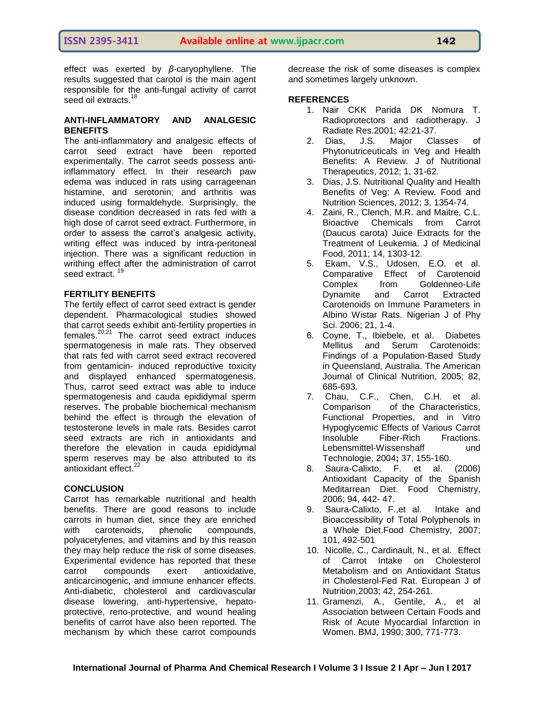effect was exerted by *β*-caryophyllene. The results suggested that carotol is the main agent responsible for the anti-fungal activity of carrot seed oil extracts.<sup>18</sup>

#### **ANTI-INFLAMMATORY AND ANALGESIC BENEFITS**

The anti-inflammatory and analgesic effects of carrot seed extract have been reported experimentally. The carrot seeds possess antiinflammatory effect. In their research paw edema was induced in rats using carrageenan histamine, and serotonin; and arthritis was induced using formaldehyde. Surprisingly, the disease condition decreased in rats fed with a high dose of carrot seed extract. Furthermore, in order to assess the carrot's analgesic activity, writing effect was induced by intra-peritoneal injection. There was a significant reduction in writhing effect after the administration of carrot seed extract.

# **FERTILITY BENEFITS**

The fertily effect of carrot seed extract is gender dependent. Pharmacological studies showed that carrot seeds exhibit anti-fertility properties in females.20,21 The carrot seed extract induces spermatogenesis in male rats. They observed that rats fed with carrot seed extract recovered from gentamicin- induced reproductive toxicity and displayed enhanced spermatogenesis. Thus, carrot seed extract was able to induce spermatogenesis and cauda epididymal sperm reserves. The probable biochemical mechanism behind the effect is through the elevation of testosterone levels in male rats. Besides carrot seed extracts are rich in antioxidants and therefore the elevation in cauda epididymal sperm reserves may be also attributed to its antioxidant effect $^{22}$ 

#### **CONCLUSION**

Carrot has remarkable nutritional and health benefits. There are good reasons to include carrots in human diet, since they are enriched with carotenoids, phenolic compounds, polyacetylenes, and vitamins and by this reason they may help reduce the risk of some diseases. Experimental evidence has reported that these carrot compounds exert antioxidative, anticarcinogenic, and immune enhancer effects. Anti-diabetic, cholesterol and cardiovascular disease lowering, anti-hypertensive, hepatoprotective, reno-protective, and wound healing benefits of carrot have also been reported. The mechanism by which these carrot compounds

decrease the risk of some diseases is complex and sometimes largely unknown.

# **REFERENCES**

- 1. Nair CKK Parida DK Nomura T. Radioprotectors and radiotherapy. J Radiate Res.2001; 42:21-37.
- 2. Dias, J.S. Major Classes of Phytonutriceuticals in Veg and Health Benefits: A Review. J of Nutritional Therapeutics, 2012; 1, 31-62.
- 3. Dias, J.S. Nutritional Quality and Health Benefits of Veg: A Review. Food and Nutrition Sciences, 2012; 3, 1354-74.
- 4. Zaini, R., Clench, M.R. and Maitre, C.L. Bioactive Chemicals from Carrot (Daucus carota) Juice Extracts for the Treatment of Leukemia. J of Medicinal Food, 2011; 14, 1303-12.
- 5. Ekam, V.S., Udosen, E.O. et al. Comparative Effect of Carotenoid Complex from Goldenneo-Life Dynamite and Carrot Extracted Carotenoids on Immune Parameters in Albino Wistar Rats. Nigerian J of Phy Sci. 2006; 21, 1-4.
- 6. Coyne, T., Ibiebele, et al. Diabetes Mellitus and Serum Carotenoids: Findings of a Population-Based Study in Queensland, Australia. The American Journal of Clinical Nutrition, 2005; 82, 685-693.
- 7. Chau, C.F., Chen, C.H. et al. Comparison of the Characteristics, Functional Properties, and in Vitro Hypoglycemic Effects of Various Carrot<br>Insoluble Fiber-Rich Fractions. Fiber-Rich Fractions. Lebensmittel-Wissenshaff und Technologie, 2004**;** 37, 155-160.
- 8. Saura-Calixto, F. et al. (2006) Antioxidant Capacity of the Spanish Meditarrean Diet. Food Chemistry, 2006; 94, 442- 47.
- 9. Saura-Calixto, F.,et al. Intake and Bioaccessibility of Total Polyphenols in a Whole Diet.Food Chemistry, 2007; 101, 492-501
- 10. Nicolle, C., Cardinault, N., et al. Effect of Carrot Intake on Cholesterol Metabolism and on Antioxidant Status in Cholesterol-Fed Rat. European J of Nutrition,2003; 42, 254-261.
- 11. Gramenzi, A., Gentile, A., et al Association between Certain Foods and Risk of Acute Myocardial Infarction in Women. BMJ, 1990; 300, 771-773.